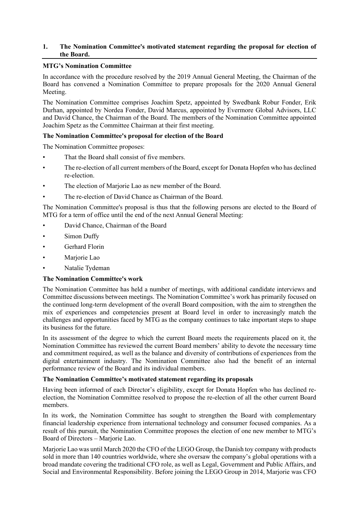# **1. The Nomination Committee's motivated statement regarding the proposal for election of the Board.**

### **MTG's Nomination Committee**

In accordance with the procedure resolved by the 2019 Annual General Meeting, the Chairman of the Board has convened a Nomination Committee to prepare proposals for the 2020 Annual General Meeting.

The Nomination Committee comprises Joachim Spetz, appointed by Swedbank Robur Fonder, Erik Durhan, appointed by Nordea Fonder, David Marcus, appointed by Evermore Global Advisors, LLC and David Chance, the Chairman of the Board. The members of the Nomination Committee appointed Joachim Spetz as the Committee Chairman at their first meeting.

# **The Nomination Committee's proposal for election of the Board**

The Nomination Committee proposes:

- That the Board shall consist of five members.
- The re-election of all current members of the Board, except for Donata Hopfen who has declined re-election.
- The election of Marjorie Lao as new member of the Board.
- The re-election of David Chance as Chairman of the Board.

The Nomination Committee's proposal is thus that the following persons are elected to the Board of MTG for a term of office until the end of the next Annual General Meeting:

- David Chance, Chairman of the Board
- Simon Duffy
- Gerhard Florin
- Marjorie Lao
- Natalie Tydeman

### **The Nomination Committee's work**

The Nomination Committee has held a number of meetings, with additional candidate interviews and Committee discussions between meetings. The Nomination Committee's work has primarily focused on the continued long-term development of the overall Board composition, with the aim to strengthen the mix of experiences and competencies present at Board level in order to increasingly match the challenges and opportunities faced by MTG as the company continues to take important steps to shape its business for the future.

In its assessment of the degree to which the current Board meets the requirements placed on it, the Nomination Committee has reviewed the current Board members' ability to devote the necessary time and commitment required, as well as the balance and diversity of contributions of experiences from the digital entertainment industry. The Nomination Committee also had the benefit of an internal performance review of the Board and its individual members.

# **The Nomination Committee's motivated statement regarding its proposals**

Having been informed of each Director's eligibility, except for Donata Hopfen who has declined reelection, the Nomination Committee resolved to propose the re-election of all the other current Board members.

In its work, the Nomination Committee has sought to strengthen the Board with complementary financial leadership experience from international technology and consumer focused companies. As a result of this pursuit, the Nomination Committee proposes the election of one new member to MTG's Board of Directors – Marjorie Lao.

Marjorie Lao was until March 2020 the CFO of the LEGO Group, the Danish toy company with products sold in more than 140 countries worldwide, where she oversaw the company's global operations with a broad mandate covering the traditional CFO role, as well as Legal, Government and Public Affairs, and Social and Environmental Responsibility. Before joining the LEGO Group in 2014, Marjorie was CFO